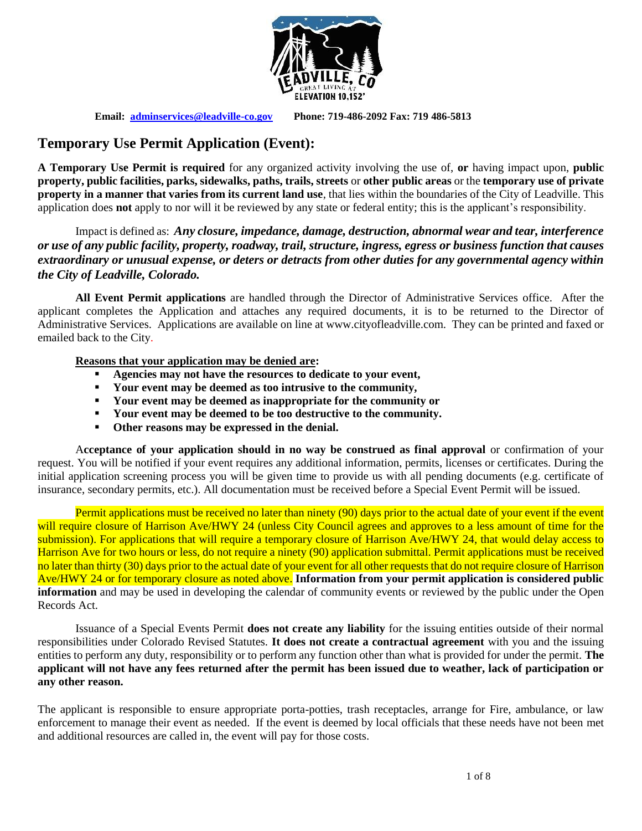

**Email: [adminservices@leadville-co.gov](mailto:adminservices@leadville-co.gov) Phone: 719-486-2092 Fax: 719 486-5813**

## **Temporary Use Permit Application (Event):**

**A Temporary Use Permit is required** for any organized activity involving the use of, **or** having impact upon, **public property, public facilities, parks, sidewalks, paths, trails, streets** or **other public areas** or the **temporary use of private property in a manner that varies from its current land use**, that lies within the boundaries of the City of Leadville. This application does **not** apply to nor will it be reviewed by any state or federal entity; this is the applicant's responsibility.

Impact is defined as: *Any closure, impedance, damage, destruction, abnormal wear and tear, interference or use of any public facility, property, roadway, trail, structure, ingress, egress or business function that causes extraordinary or unusual expense, or deters or detracts from other duties for any governmental agency within the City of Leadville, Colorado.* 

**All Event Permit applications** are handled through the Director of Administrative Services office. After the applicant completes the Application and attaches any required documents, it is to be returned to the Director of Administrative Services. Applications are available on line at www.cityofleadville.com. They can be printed and faxed or emailed back to the City.

#### **Reasons that your application may be denied are:**

- **Agencies may not have the resources to dedicate to your event,**
- **Your event may be deemed as too intrusive to the community,**
- **Your event may be deemed as inappropriate for the community or**
- **Your event may be deemed to be too destructive to the community.**
- **Other reasons may be expressed in the denial.**

A**cceptance of your application should in no way be construed as final approval** or confirmation of your request. You will be notified if your event requires any additional information, permits, licenses or certificates. During the initial application screening process you will be given time to provide us with all pending documents (e.g. certificate of insurance, secondary permits, etc.). All documentation must be received before a Special Event Permit will be issued.

Permit applications must be received no later than ninety (90) days prior to the actual date of your event if the event will require closure of Harrison Ave/HWY 24 (unless City Council agrees and approves to a less amount of time for the submission). For applications that will require a temporary closure of Harrison Ave/HWY 24, that would delay access to Harrison Ave for two hours or less, do not require a ninety (90) application submittal. Permit applications must be received no later than thirty (30) days prior to the actual date of your event for all other requests that do not require closure of Harrison Ave/HWY 24 or for temporary closure as noted above. **Information from your permit application is considered public information** and may be used in developing the calendar of community events or reviewed by the public under the Open Records Act.

Issuance of a Special Events Permit **does not create any liability** for the issuing entities outside of their normal responsibilities under Colorado Revised Statutes. **It does not create a contractual agreement** with you and the issuing entities to perform any duty, responsibility or to perform any function other than what is provided for under the permit. **The applicant will not have any fees returned after the permit has been issued due to weather, lack of participation or any other reason.**

The applicant is responsible to ensure appropriate porta-potties, trash receptacles, arrange for Fire, ambulance, or law enforcement to manage their event as needed. If the event is deemed by local officials that these needs have not been met and additional resources are called in, the event will pay for those costs.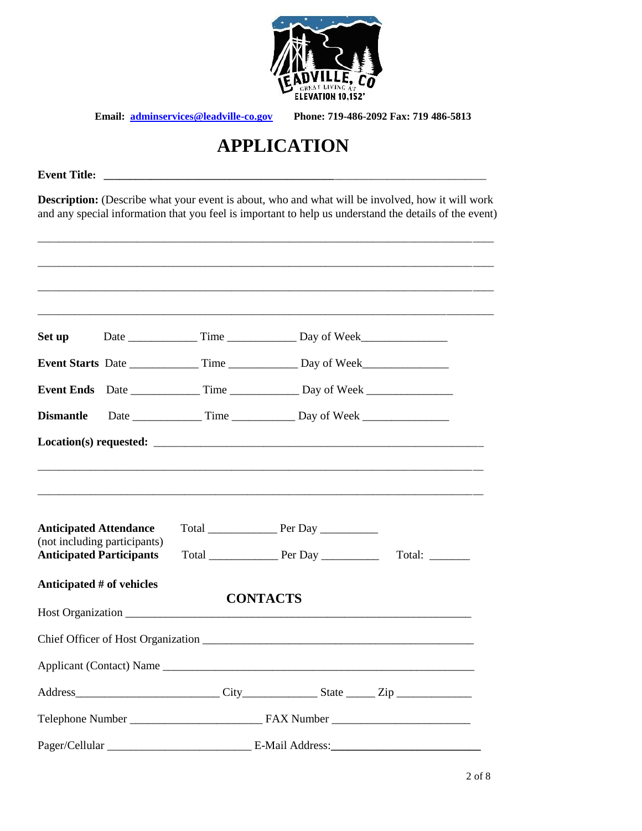

# **APPLICATION**

**Event Title:**  $\blacksquare$ 

**Description:** (Describe what your event is about, who and what will be involved, how it will work and any special information that you feel is important to help us understand the details of the event)

\_\_\_\_\_\_\_\_\_\_\_\_\_\_\_\_\_\_\_\_\_\_\_\_\_\_\_\_\_\_\_\_\_\_\_\_\_\_\_\_\_\_\_\_\_\_\_\_\_\_\_\_\_\_\_\_\_\_\_\_\_\_\_\_\_\_\_\_\_\_\_\_\_\_\_\_\_\_\_\_\_\_\_\_\_\_\_

| Set up                                                           |                              |                                                                                   |                |
|------------------------------------------------------------------|------------------------------|-----------------------------------------------------------------------------------|----------------|
|                                                                  |                              | Event Starts Date _______________ Time ________________ Day of Week______________ |                |
|                                                                  |                              |                                                                                   |                |
| <b>Dismantle</b>                                                 |                              |                                                                                   |                |
|                                                                  |                              |                                                                                   |                |
| <b>Anticipated Attendance</b><br><b>Anticipated Participants</b> | (not including participants) |                                                                                   | Total: _______ |
| Anticipated # of vehicles                                        |                              | <b>CONTACTS</b>                                                                   |                |
|                                                                  |                              |                                                                                   |                |
|                                                                  |                              |                                                                                   |                |
|                                                                  |                              |                                                                                   |                |
|                                                                  |                              |                                                                                   |                |
|                                                                  |                              |                                                                                   |                |
|                                                                  |                              |                                                                                   |                |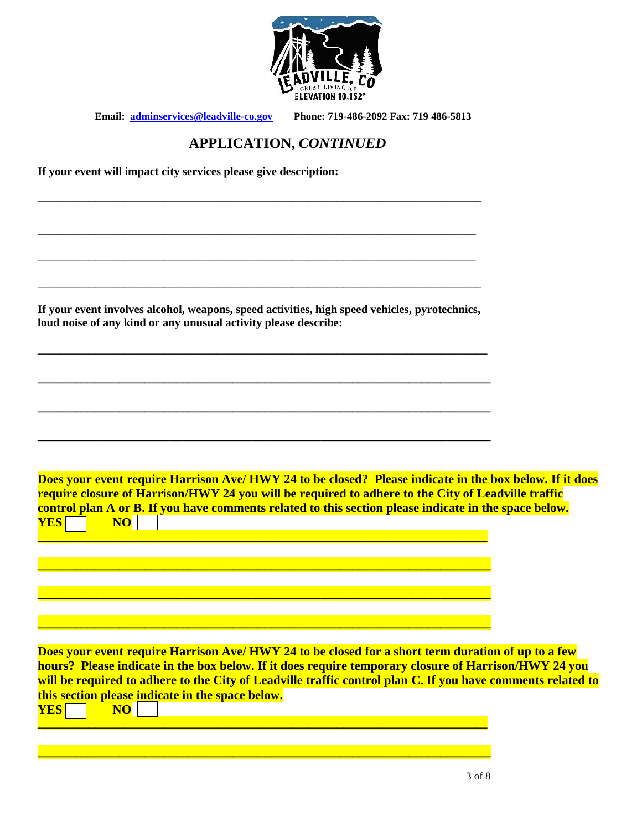

\_\_\_\_\_\_\_\_\_\_\_\_\_\_\_\_\_\_\_\_\_\_\_\_\_\_\_\_\_\_\_\_\_\_\_\_\_\_\_\_\_\_\_\_\_\_\_\_\_\_\_\_\_\_\_\_\_\_\_\_\_\_\_\_\_\_\_\_\_\_\_\_\_\_\_\_\_

\_\_\_\_\_\_\_\_\_\_\_\_\_\_\_\_\_\_\_\_\_\_\_\_\_\_\_\_\_\_\_\_\_\_\_\_\_\_\_\_\_\_\_\_\_\_\_\_\_\_\_\_\_\_\_\_\_\_\_\_\_\_\_\_\_\_\_\_\_\_\_\_\_\_\_\_

\_\_\_\_\_\_\_\_\_\_\_\_\_\_\_\_\_\_\_\_\_\_\_\_\_\_\_\_\_\_\_\_\_\_\_\_\_\_\_\_\_\_\_\_\_\_\_\_\_\_\_\_\_\_\_\_\_\_\_\_\_\_\_\_\_\_\_\_\_\_\_\_\_\_\_\_

## **APPLICATION,** *CONTINUED*

**If your event will impact city services please give description:** 

| If your event involves alcohol, weapons, speed activities, high speed vehicles, pyrotechnics,<br>loud noise of any kind or any unusual activity please describe:                                                                                                                                                                                                              |  |
|-------------------------------------------------------------------------------------------------------------------------------------------------------------------------------------------------------------------------------------------------------------------------------------------------------------------------------------------------------------------------------|--|
|                                                                                                                                                                                                                                                                                                                                                                               |  |
|                                                                                                                                                                                                                                                                                                                                                                               |  |
| Does your event require Harrison Ave/HWY 24 to be closed? Please indicate in the box below. If it does                                                                                                                                                                                                                                                                        |  |
| require closure of Harrison/HWY 24 you will be required to adhere to the City of Leadville traffic<br>control plan A or B. If you have comments related to this section please indicate in the space below.<br><b>NO</b><br><b>YES</b>                                                                                                                                        |  |
|                                                                                                                                                                                                                                                                                                                                                                               |  |
|                                                                                                                                                                                                                                                                                                                                                                               |  |
| Does your event require Harrison Ave/ HWY 24 to be closed for a short term duration of up to a few<br>hours? Please indicate in the box below. If it does require temporary closure of Harrison/HWY 24 you<br>will be required to adhere to the City of Leadville traffic control plan C. If you have comments related to<br>this section please indicate in the space below. |  |
| <b>YES</b><br><b>NO</b>                                                                                                                                                                                                                                                                                                                                                       |  |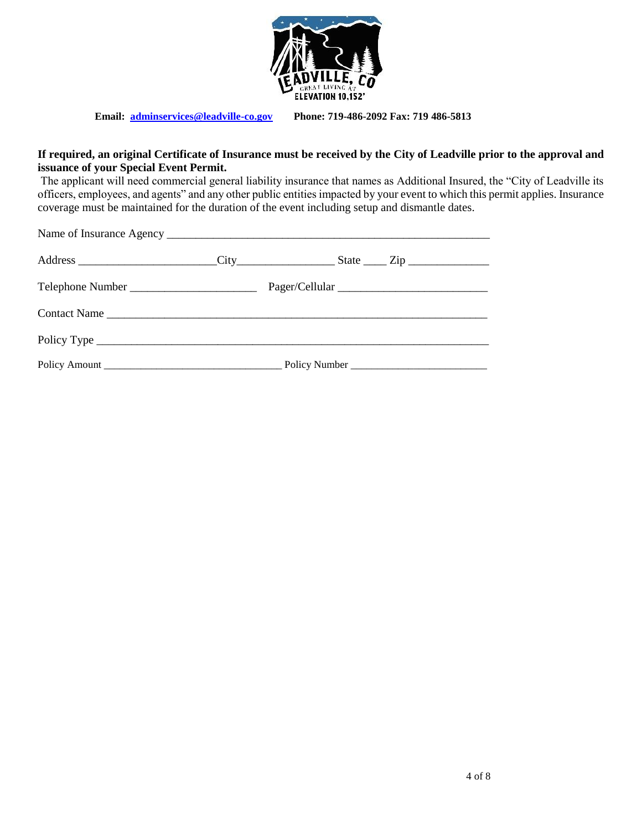

#### **If required, an original Certificate of Insurance must be received by the City of Leadville prior to the approval and issuance of your Special Event Permit.**

The applicant will need commercial general liability insurance that names as Additional Insured, the "City of Leadville its officers, employees, and agents" and any other public entities impacted by your event to which this permit applies. Insurance coverage must be maintained for the duration of the event including setup and dismantle dates.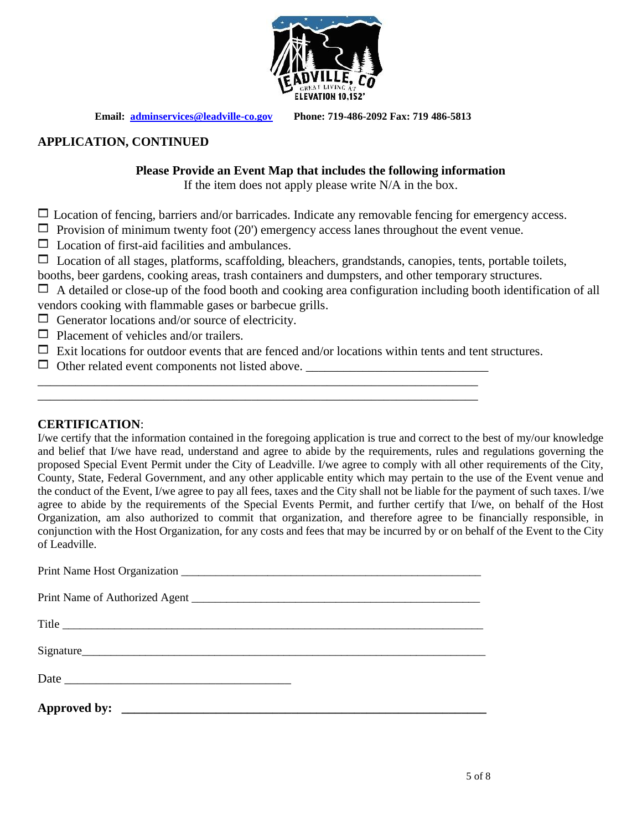

#### **APPLICATION, CONTINUED**

#### **Please Provide an Event Map that includes the following information**

If the item does not apply please write N/A in the box.

 $\Box$  Location of fencing, barriers and/or barricades. Indicate any removable fencing for emergency access.

- $\Box$  Provision of minimum twenty foot (20') emergency access lanes throughout the event venue.
- $\Box$  Location of first-aid facilities and ambulances.
- $\Box$  Location of all stages, platforms, scaffolding, bleachers, grandstands, canopies, tents, portable toilets,
- booths, beer gardens, cooking areas, trash containers and dumpsters, and other temporary structures.
- $\Box$  A detailed or close-up of the food booth and cooking area configuration including booth identification of all vendors cooking with flammable gases or barbecue grills.
- $\Box$  Generator locations and/or source of electricity.
- $\Box$  Placement of vehicles and/or trailers.
- $\Box$  Exit locations for outdoor events that are fenced and/or locations within tents and tent structures.

\_\_\_\_\_\_\_\_\_\_\_\_\_\_\_\_\_\_\_\_\_\_\_\_\_\_\_\_\_\_\_\_\_\_\_\_\_\_\_\_\_\_\_\_\_\_\_\_\_\_\_\_\_\_\_\_\_\_\_\_\_\_\_\_\_\_\_\_\_\_ \_\_\_\_\_\_\_\_\_\_\_\_\_\_\_\_\_\_\_\_\_\_\_\_\_\_\_\_\_\_\_\_\_\_\_\_\_\_\_\_\_\_\_\_\_\_\_\_\_\_\_\_\_\_\_\_\_\_\_\_\_\_\_\_\_\_\_\_\_\_

Other related event components not listed above. \_\_\_\_\_\_\_\_\_\_\_\_\_\_\_\_\_\_\_\_\_\_\_\_\_\_\_\_\_

#### **CERTIFICATION**:

I/we certify that the information contained in the foregoing application is true and correct to the best of my/our knowledge and belief that I/we have read, understand and agree to abide by the requirements, rules and regulations governing the proposed Special Event Permit under the City of Leadville. I/we agree to comply with all other requirements of the City, County, State, Federal Government, and any other applicable entity which may pertain to the use of the Event venue and the conduct of the Event, I/we agree to pay all fees, taxes and the City shall not be liable for the payment of such taxes. I/we agree to abide by the requirements of the Special Events Permit, and further certify that I/we, on behalf of the Host Organization, am also authorized to commit that organization, and therefore agree to be financially responsible, in conjunction with the Host Organization, for any costs and fees that may be incurred by or on behalf of the Event to the City of Leadville.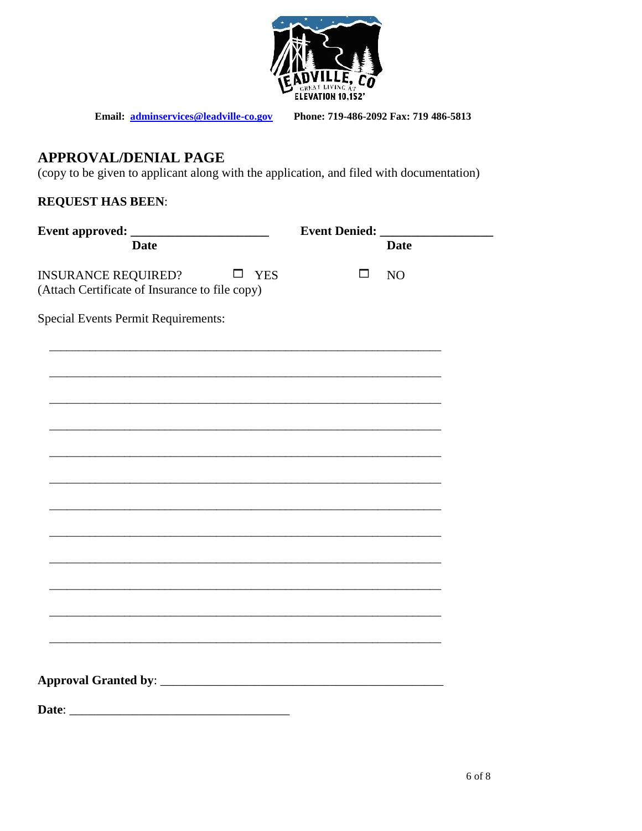

Phone: 719-486-2092 Fax: 719 486-5813

## **APPROVAL/DENIAL PAGE**

(copy to be given to applicant along with the application, and filed with documentation)

### **REQUEST HAS BEEN:**

|                                                                                               | <b>Event Denied:</b> |             |
|-----------------------------------------------------------------------------------------------|----------------------|-------------|
| <b>Date</b>                                                                                   |                      | <b>Date</b> |
| <b>INSURANCE REQUIRED?</b><br>$\square$ YES<br>(Attach Certificate of Insurance to file copy) | $\Box$               | NO          |
| <b>Special Events Permit Requirements:</b>                                                    |                      |             |
|                                                                                               |                      |             |
|                                                                                               |                      |             |
|                                                                                               |                      |             |
|                                                                                               |                      |             |
|                                                                                               |                      |             |
|                                                                                               |                      |             |
|                                                                                               |                      |             |
|                                                                                               |                      |             |
|                                                                                               |                      |             |
| Date:                                                                                         |                      |             |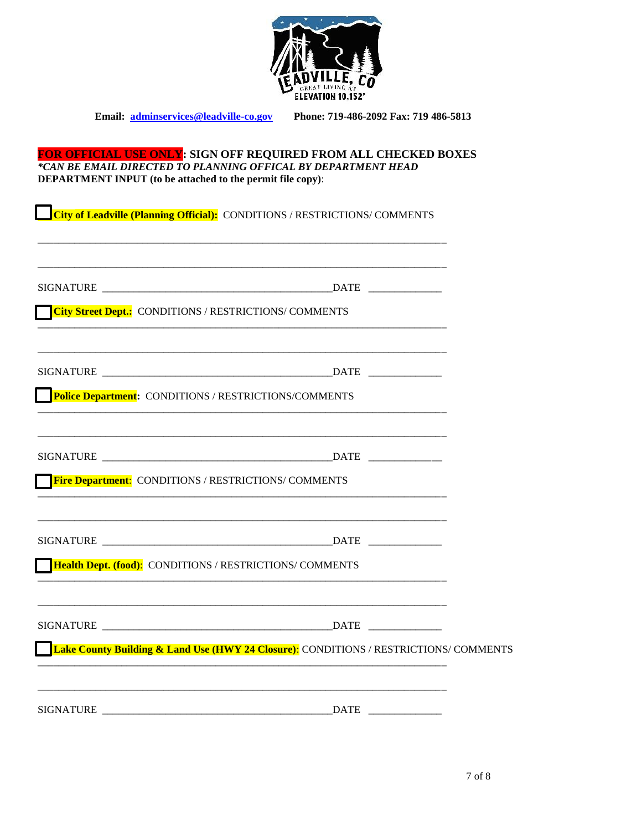

#### **FOR OFFICIAL USE ONLY: SIGN OFF REQUIRED FROM ALL CHECKED BOXES**  *\*CAN BE EMAIL DIRECTED TO PLANNING OFFICAL BY DEPARTMENT HEAD* **DEPARTMENT INPUT (to be attached to the permit file copy)**:

 **City of Leadville (Planning Official):** CONDITIONS / RESTRICTIONS/ COMMENTS

\_\_\_\_\_\_\_\_\_\_\_\_\_\_\_\_\_\_\_\_\_\_\_\_\_\_\_\_\_\_\_\_\_\_\_\_\_\_\_\_\_\_\_\_\_\_\_\_\_\_\_\_\_\_\_\_\_\_\_\_\_\_\_\_\_\_\_\_\_\_\_\_\_\_\_\_\_\_

| <b>City Street Dept.:</b> CONDITIONS / RESTRICTIONS/ COMMENTS   |                                                                                                  |  |
|-----------------------------------------------------------------|--------------------------------------------------------------------------------------------------|--|
|                                                                 |                                                                                                  |  |
|                                                                 |                                                                                                  |  |
| <b>Police Department:</b> CONDITIONS / RESTRICTIONS/COMMENTS    |                                                                                                  |  |
|                                                                 |                                                                                                  |  |
| <b>Fire Department:</b> CONDITIONS / RESTRICTIONS/ COMMENTS     |                                                                                                  |  |
|                                                                 |                                                                                                  |  |
| <b>Health Dept. (food):</b> CONDITIONS / RESTRICTIONS/ COMMENTS |                                                                                                  |  |
|                                                                 |                                                                                                  |  |
|                                                                 | <b>Lake County Building &amp; Land Use (HWY 24 Closure):</b> CONDITIONS / RESTRICTIONS/ COMMENTS |  |
|                                                                 |                                                                                                  |  |
|                                                                 |                                                                                                  |  |